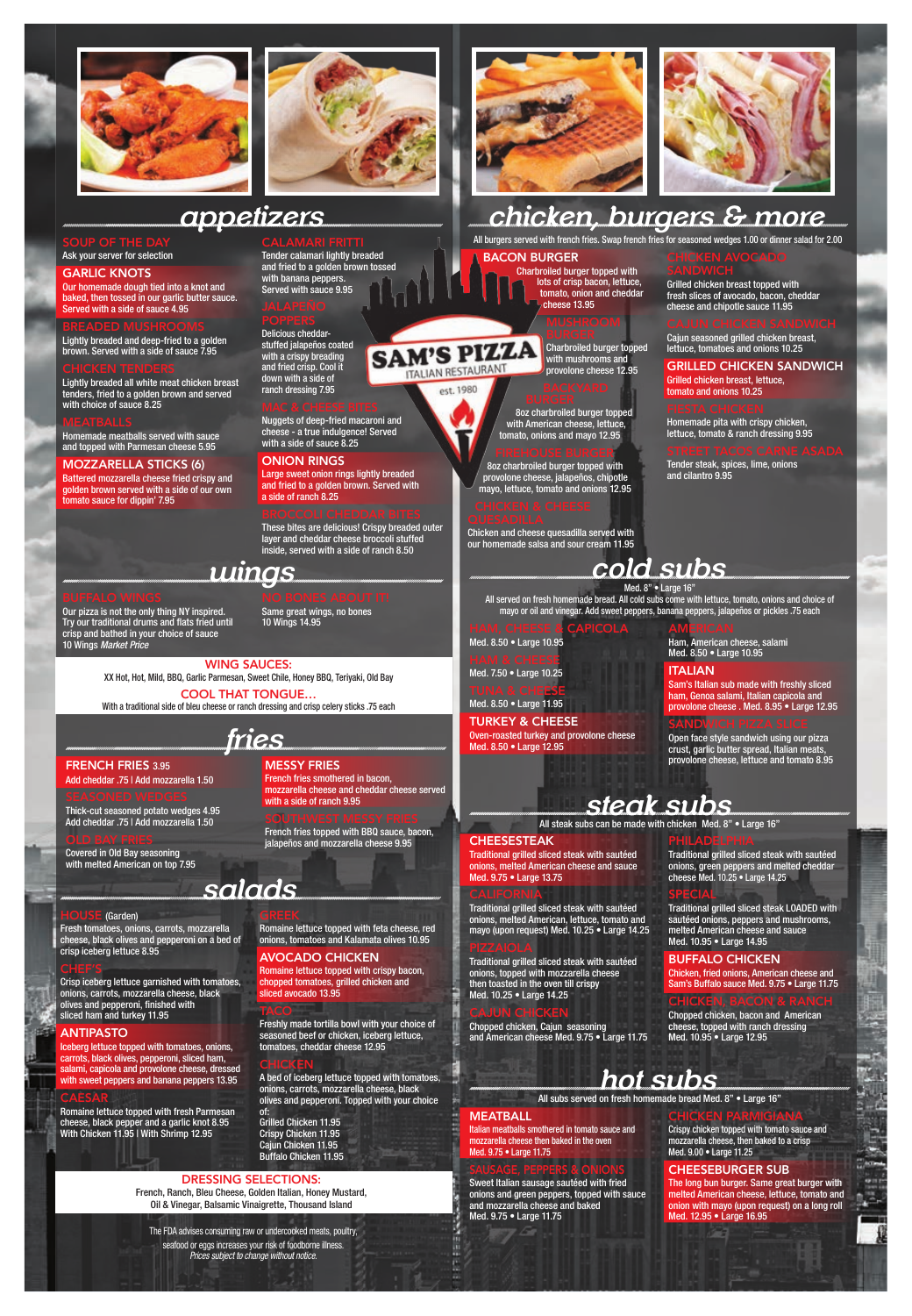



#### SOUP OF THE DAY Ask your server for selection

#### GARLIC KNOTS

Our homemade dough tied into a knot and baked, then tossed in our garlic butter sauce. Served with a side of sauce 4.95

Lightly breaded and deep-fried to a golden brown. Served with a side of sauce 7.95

Lightly breaded all white meat chicken breast tenders, fried to a golden brown and served with choice of sauce 8.25

Delicious cheddarstuffed jalapeños coated with a crispy breading and fried crisp. Cool it down with a side of

Homemade meatballs served with sauce and topped with Parmesan cheese 5.95

#### MOZZARELLA STICKS (6)

Battered mozzarella cheese fried crispy and golden brown served with a side of our own tomato sauce for dippin' 7.95

Tender calamari lightly breaded and fried to a golden brown tossed

with banana peppers. Served with sauce 9.95

ranch dressing 7.95

Nuggets of deep-fried macaroni and cheese - a true indulgence! Served with a side of sauce 8.25

#### ONION RINGS

Large sweet onion rings lightly breaded and fried to a golden brown. Served with a side of ranch 8.25

These bites are delicious! Crispy breaded outer layer and cheddar cheese broccoli stuffed inside, served with a side of ranch 8.50

## *salads*

#### HOUSE (Garden)

Fresh tomatoes, onions, carrots, mozzarella cheese, black olives and pepperoni on a bed of crisp iceberg lettuce 8.95

#### CHEF'S

TUNA & CHE<mark>ESE</mark> Med. 8.50 • Large 11.95

Crisp iceberg lettuce garnished with tomatoes, onions, carrots, mozzarella cheese, black olives and pepperoni, finished with sliced ham and turkey 11.95

#### ANTIPASTO

Iceberg lettuce topped with tomatoes, onions, carrots, black olives, pepperoni, sliced ham, salami, capicola and provolone cheese, dressed with sweet peppers and banana peppers 13.95

Med. 8" • Large 16' All served on fresh homemade bread. All cold subs come with lettuce, tomato, onions and choice of mayo or oil and vinegar. Add sweet peppers, banana peppers, jalapeños or pickles .75 each

#### CAESAR

Romaine lettuce topped with fresh Parmesan cheese, black pepper and a garlic knot 8.95 With Chicken 11.95 | With Shrimp 12.95

**CALIFORNIA** Traditional grilled sliced steak with sautéed onions, melted American, lettuce, tomato and mayo (upon request) Med. 10.25 • Large 14.25

Romaine lettuce topped with feta cheese, red onions, tomatoes and Kalamata olives 10.95

### AVOCADO CHICKEN

Romaine lettuce topped with crispy bacon, chopped tomatoes, grilled chicken and sliced avocado 13.95

Freshly made tortilla bowl with your choice of seasoned beef or chicken, iceberg lettuce, tomatoes, cheddar cheese 12.95

### **CHICKEN**

**TACO** 

A bed of iceberg lettuce topped with tomatoes, onions, carrots, mozzarella cheese, black olives and pepperoni. Topped with your choice

of: Grilled Chicken 11.95 Crispy Chicken 11.95 Cajun Chicken 11.95 Buffalo Chicken 11.95

### DRESSING SELECTIONS:

French, Ranch, Bleu Cheese, Golden Italian, Honey Mustard, Oil & Vinegar, Balsamic Vinaigrette, Thousand Island

The FDA advises consuming raw or undercooked meats, poultry, seafood or eggs increases your risk of foodborne illness. *Prices subject to change without notice.*

#### HAM, CHEESE & CAPICOLA Med. 8.50 • Large 10.95

HAM & CHEESE

Med. 7.50 • Large 10.25

TURKEY & CHEESE Oven-roasted turkey and provolone cheese Med. 8.50 • Large 12.95

## **AMERICAN**

Ham, American cheese, salami Med. 8.50 • Large 10.95

### **ITALIAN**

Sam's Italian sub made with freshly sliced ham, Genoa salami, Italian capicola and provolone cheese . Med. 8.95 • Large 12.95

### SANDWICH PIZZA SLICE

Open face style sandwich using our pizza crust, garlic butter spread, Italian meats, provolone cheese, lettuce and tomato 8.95

## *cold subs*

### CHEESESTEAK

Traditional grilled sliced steak with sautéed onions, melted American cheese and sauce Med. 9.75 • Large 13.75

Traditional grilled sliced steak with sautéed onions, topped with mozzarella cheese then toasted in the oven till crispy Med. 10.25 • Large 14.25

#### CAJUN CHICKEN

Chopped chicken, Cajun seasoning and American cheese Med. 9.75 • Large 11.75 PHILADELPHIA

Traditional grilled sliced steak with sautéed onions, green peppers and melted cheddar cheese Med. 10.25 • Large 14.25

#### SPECIAL

Traditional grilled sliced steak LOADED with

sautéed onions, peppers and mushrooms, melted American cheese and sauce Med. 10.95 • Large 14.95

#### BUFFALO CHICKEN

Chicken, fried onions, American cheese and Sam's Buffalo sauce Med. 9.75 • Large 11.75

### CHICKEN, BACON & RANCH

Chopped chicken, bacon and American cheese, topped with ranch dressing Med. 10.95 • Large 12.95

# *steak subs*

All steak subs can be made with chicken Med. 8" • Large 16"

Italian meatballs smothered in tomato sauce and mozzarella cheese then baked in the oven Med. 9.75 • Large 11.75

### SAUSAGE, PEPPERS & ONIONS

Sweet Italian sausage sautéed with fried onions and green peppers, topped with sauce and mozzarella cheese and baked Med. 9.75 • Large 11.75

### CHICKEN PARMIGIANA

Crispy chicken topped with tomato sauce and mozzarella cheese, then baked to a crisp Med. 9.00 • Large 11.25

#### CHEESEBURGER SUB

The long bun burger. Same great burger with melted American cheese, lettuce, tomato and onion with mayo (upon request) on a long roll Med. 12.95 • Large 16.95

## *hot subs*

All subs served on fresh homemade bread Med. 8" • Large 16"

#### **MEATBALL**

*wings*

Our pizza is not the only thing NY inspired. Try our traditional drums and flats fried until crisp and bathed in your choice of sauce 10 Wings *Market Price*

### Same great wings, no bones

10 Wings 14.95

WING SAUCES: XX Hot, Hot, Mild, BBQ, Garlic Parmesan, Sweet Chile, Honey BBQ, Teriyaki, Old Bay

COOL THAT TONGUE… With a traditional side of bleu cheese or ranch dressing and crisp celery sticks .75 each



#### FRENCH FRIES 3.95

#### Add cheddar .75 | Add mozzarella 1.50

Thick-cut seasoned potato wedges 4.95 Add cheddar .75 | Add mozzarella 1.50

Covered in Old Bay seasoning with melted American on top 7.95 MESSY FRIES French fries smothered in bacon,

mozzarella cheese and cheddar cheese served with a side of ranch 9.95

French fries topped with BBQ sauce, bacon, jalapeños and mozzarella cheese 9.95





## *chicken, burgers & more*

All burgers served with french fries. Swap french fries for seasoned wedges 1.00 or dinner salad for 2.00

#### BACON BURGER

**SAM'S PIZZA** ITALIAN RESTAURANT est. 1980

Charbroiled burger topped with lots of crisp bacon, lettuce, tomato, onion and cheddar cheese 13.95

> Charbroiled burger topped with mushrooms and provolone cheese 12.95

8oz charbroiled burger topped with American cheese, lettuce, tomato, onions and mayo 12.95

#### FIREHOUSE BURGER

8oz charbroiled burger topped with provolone cheese, jalapeños, chipotle mayo, lettuce, tomato and onions 12.95

Chicken and cheese quesadilla served with our homemade salsa and sour cream 11.95 CHICKEN AVOCADO

## Grilled chicken breast topped with

fresh slices of avocado, bacon, cheddar cheese and chipotle sauce 11.95

## Cajun seasoned grilled chicken breast,

lettuce, tomatoes and onions 10.25

GRILLED CHICKEN SANDWICH Grilled chicken breast, lettuce, tomato and onions 10.25

Homemade pita with crispy chicken, lettuce, tomato & ranch dressing 9.95

Tender steak, spices, lime, onions and cilantro 9.95